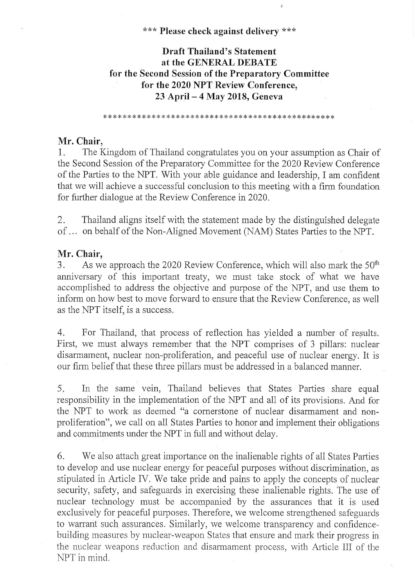\*\*\* Please check against delivery \*\*\*

# Draft Thailand's Statement at the GENERAL DEBATE for the Second Session of the Preparatory Committee for the 2020 NPT Review Conference, 23 April - 4 May 2018, Geneva

\* II-k \*\*\*\*\*\* \*\* III \* \* \* \* \*\* \* \*\* \*\* \*\* \*\* \* \*\* II \*\* \* \*\*\*\*\* \* \*\*\* \*

## Mr. Chair,

1. The Kingdom of Thailand congratulates you on your assumption as Chair of the Second Session of the Preparatory Committee for the 2020 Review Conference of the Parties to the NPT. With your able guidance and leadership, I am confident that we will achieve a successful conclusion to this meeting with a firm foundation for further dialogue at the Review Conference in 2020.

2. Thailand aligns itself with the statement made by the distinguished delegate of... on behalf of the Non-Aligned Movement (NAM) States Parties to the NPT.

## Mr. Chair,

3. As we approach the 2020 Review Conference, which will also mark the 50<sup>th</sup> anniversary of this important treaty, we must take stock of what we have accomplished to address the objective and purpose of the NPT, and use them to inform on how best to move forward to ensure that the Review Conference, as well as the NPT itself, is a success.

4. For Thailand, that process of reflection has yielded a number of results. First, we must always remember that the NPT comprises of 3 pillars: nuclear disarmament, nuclear non-proliferation, and peaceful use of nuclear energy. It is our firm belief that these three pillars must be addressed in a balanced manner.

5. In the same vein, Thailand believes that States Parties share equal responsibility in the implementation of the NPT and all of its provisions. And for the NPT to work as deemed "a cornerstone of nuclear disarmament and nonproliferation", we call on all States Parties to honor and implement their obligations and commitments under the NPT in full and without delay.

6. We also attach great importance on the inalienable rights of all States Parties to develop and use nuclear energy for peaceful purposes without discrimination, as stipulated in Article IV. We take pride and pains to apply the concepts of nuclear security, safety, and safeguards in exercising these inalienable rights. The use of nuclear technology must be accompanied by the assurances that it is used exclusively for peaceful purposes. Therefore, we welcome strengthened safeguards to warrant such assurances. Similarly, we welcome transparency and confidencebuilding measures by nuclear-weapon States that ensure and mark their progress in the nuclear weapons reduction and disarmament process, with Article III of the NPT in mind.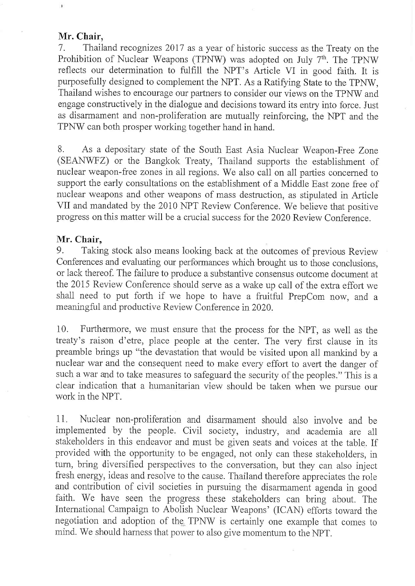### Mr. Chair,

7. Thailand recognizes 2017 as a year of historic success as the Treaty on the Prohibition of Nuclear Weapons (TPNW) was adopted on July 7<sup>th</sup>. The TPNW reflects our determination to fulfill the NPT's Article VI in good faith. It is purposefully designed to complement the NPT. As a Ratifying State to the TPNW, Thailand wishes to encourage our partners to consider our views on the TPNW and engage constructively in the dialogue and decisions toward its entry into force. Just as disarmament and non-proliferation are mutually reinforcing, the NPT and the TPNW can both prosper working together hand in hand.

8. As a depositary state of the South East Asia Nuclear Weapon-Free Zone (SEANWFZ) or the Bangkok Treaty, Thailand supports the establishment of nuclear weapon-free zones in all regions. We also call on all parties concerned to support the early consultations on the establishment of a Middle East zone free of nuclear weapons and other weapons of mass destruction, as stipulated in Article VII and mandated by the 2010 NPT Review Conference. We believe that positive progress on this matter will be a crucial success for the 2020 Review Conference.

#### Mr. Chair,

9. Taking stock also means looking back at the outcomes of previous Review Conferences and evaluating our performances which brought us to those conclusions, or lack thereof. The failure to produce a substantive consensus outcome document at the 2015 Review Conference should serve as a wake up call of the extra effort we shall need to put forth if we hope to have a fruitful PrepCom now, and a meaningful and productive Review Conference in 2020.

10. Furthermore, we must ensure that the process for the NPT, as well as the treaty's raison d'etre, place people at the center. The very first clause in its preamble brings up "the devastation that would be visited upon all mankind by a nuclear war and the consequent need to make every effort to avert the danger of such a war and to take measures to safeguard the security of the peoples." This is a clear indication that a humanitarian view should be taken when we pursue our work in the NPT.

11. Nuclear non-proliferation and disarmament should also involve and be implemented by the people. Civil society, industry, and academia are all stakeholders in this endeavor and must be given seats and voices at the table. If provided with the opportunity to be engaged, not only can these stakeholders, in turn, bring diversified perspectives to the conversation, but they can also inject fresh energy, ideas and resolve to the cause. Thailand therefore appreciates the role and contribution of civil societies in pursuing the disarmament agenda in good faith. We have seen the progress these stakeholders can bring about. The International Campaign to Abolish Nuclear Weapons' (ICAN) efforts toward the negotiation and adoption of the, TPNW is certainly one example that comes to mind. We should harness that power to also give momentum to the NPT.